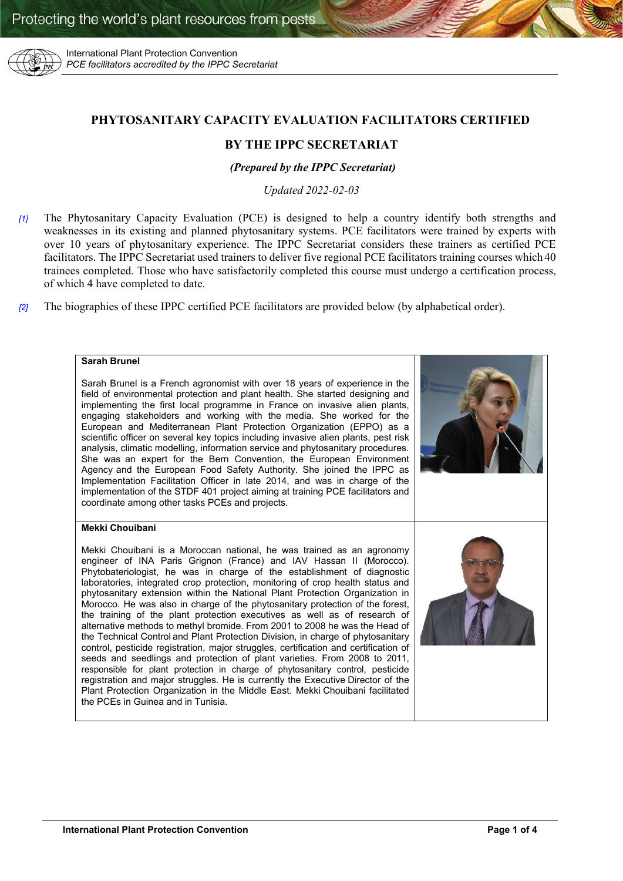

International Plant Protection Convention *PCE facilitators accredited by the IPPC Secretariat*

# **PHYTOSANITARY CAPACITY EVALUATION FACILITATORS CERTIFIED**

# **BY THE IPPC SECRETARIAT**

## *(Prepared by the IPPC Secretariat)*

*Updated 2022-02-03*

- *[1]* The Phytosanitary Capacity Evaluation (PCE) is designed to help a country identify both strengths and weaknesses in its existing and planned phytosanitary systems. PCE facilitators were trained by experts with over 10 years of phytosanitary experience. The IPPC Secretariat considers these trainers as certified PCE facilitators. The IPPC Secretariat used trainers to deliver five regional PCE facilitators training courses which 40 trainees completed. Those who have satisfactorily completed this course must undergo a certification process, of which 4 have completed to date.
- *[2]* The biographies of these IPPC certified PCE facilitators are provided below (by alphabetical order).

## **Sarah Brunel**

Sarah Brunel is a French agronomist with over 18 years of experience in the field of environmental protection and plant health. She started designing and implementing the first local programme in France on invasive alien plants, engaging stakeholders and working with the media. She worked for the European and Mediterranean Plant Protection Organization (EPPO) as a scientific officer on several key topics including invasive alien plants, pest risk analysis, climatic modelling, information service and phytosanitary procedures. She was an expert for the Bern Convention, the European Environment Agency and the European Food Safety Authority. She joined the IPPC as Implementation Facilitation Officer in late 2014, and was in charge of the implementation of the STDF 401 project aiming at training PCE facilitators and coordinate among other tasks PCEs and projects.

### **Mekki Chouibani**

Mekki Chouibani is a Moroccan national, he was trained as an agronomy engineer of INA Paris Grignon (France) and IAV Hassan II (Morocco). Phytobateriologist, he was in charge of the establishment of diagnostic laboratories, integrated crop protection, monitoring of crop health status and phytosanitary extension within the National Plant Protection Organization in Morocco. He was also in charge of the phytosanitary protection of the forest, the training of the plant protection executives as well as of research of alternative methods to methyl bromide. From 2001 to 2008 he was the Head of the Technical Control and Plant Protection Division, in charge of phytosanitary control, pesticide registration, major struggles, certification and certification of seeds and seedlings and protection of plant varieties. From 2008 to 2011, responsible for plant protection in charge of phytosanitary control, pesticide registration and major struggles. He is currently the Executive Director of the Plant Protection Organization in the Middle East. Mekki Chouibani facilitated the PCEs in Guinea and in Tunisia.

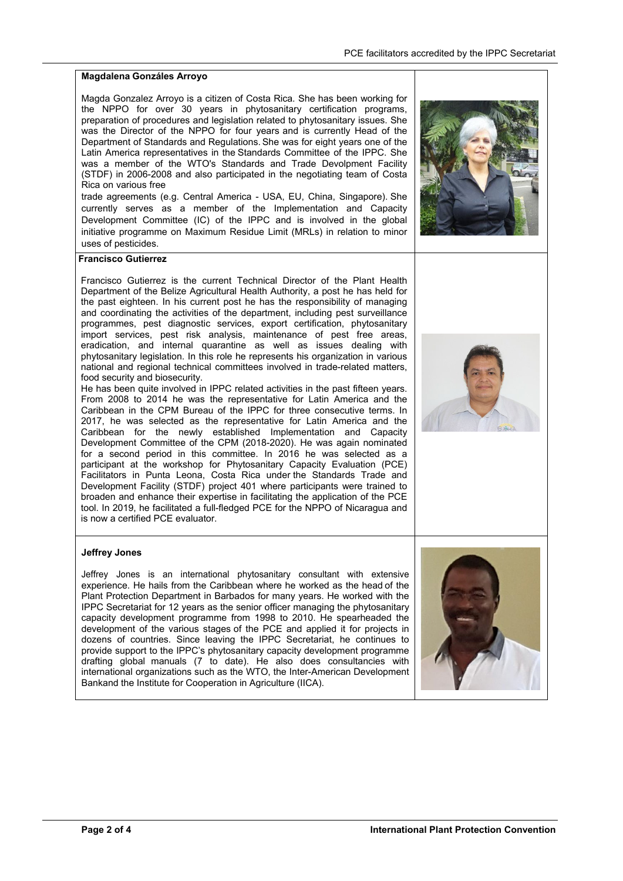## **Magdalena Gonzáles Arroyo**

Magda Gonzalez Arroyo is a citizen of Costa Rica. She has been working for the NPPO for over 30 years in phytosanitary certification programs, preparation of procedures and legislation related to phytosanitary issues. She was the Director of the NPPO for four years and is currently Head of the Department of Standards and Regulations. She was for eight years one of the Latin America representatives in the Standards Committee of the IPPC. She was a member of the WTO's Standards and Trade Devolpment Facility (STDF) in 2006-2008 and also participated in the negotiating team of Costa Rica on various free

trade agreements (e.g. Central America - USA, EU, China, Singapore). She currently serves as a member of the Implementation and Capacity Development Committee (IC) of the IPPC and is involved in the global initiative programme on Maximum Residue Limit (MRLs) in relation to minor uses of pesticides.



## **Francisco Gutierrez**

Francisco Gutierrez is the current Technical Director of the Plant Health Department of the Belize Agricultural Health Authority, a post he has held for the past eighteen. In his current post he has the responsibility of managing and coordinating the activities of the department, including pest surveillance programmes, pest diagnostic services, export certification, phytosanitary import services, pest risk analysis, maintenance of pest free areas, eradication, and internal quarantine as well as issues dealing with phytosanitary legislation. In this role he represents his organization in various national and regional technical committees involved in trade-related matters, food security and biosecurity.

He has been quite involved in IPPC related activities in the past fifteen years. From 2008 to 2014 he was the representative for Latin America and the Caribbean in the CPM Bureau of the IPPC for three consecutive terms. In 2017, he was selected as the representative for Latin America and the Caribbean for the newly established Implementation and Capacity Development Committee of the CPM (2018-2020). He was again nominated for a second period in this committee. In 2016 he was selected as a participant at the workshop for Phytosanitary Capacity Evaluation (PCE) Facilitators in Punta Leona, Costa Rica under [the Standards Trade and](http://www.standardsfacility.org/PG-401)  [Development Facility \(STDF\) project 401](http://www.standardsfacility.org/PG-401) where participants were trained to broaden and enhance their expertise in facilitating the application of the PCE tool. In 2019, he facilitated a full-fledged PCE for the NPPO of Nicaragua and is now a certified PCE evaluator.



### **Jeffrey Jones**

Jeffrey Jones is an international phytosanitary consultant with extensive experience. He hails from the Caribbean where he worked as the head of the Plant Protection Department in Barbados for many years. He worked with the IPPC Secretariat for 12 years as the senior officer managing the phytosanitary capacity development programme from 1998 to 2010. He spearheaded the development of the various stages of the PCE and applied it for projects in dozens of countries. Since leaving the IPPC Secretariat, he continues to provide support to the IPPC's phytosanitary capacity development programme drafting global manuals (7 to date). He also does consultancies with international organizations such as the WTO, the Inter-American Development Bankand the Institute for Cooperation in Agriculture (IICA).

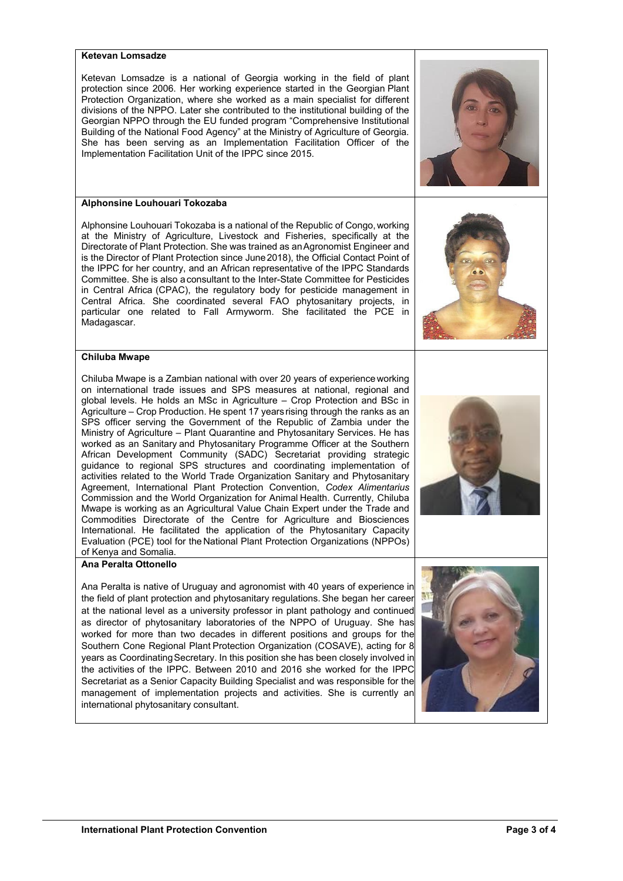#### **Ketevan Lomsadze**

Ketevan Lomsadze is a national of Georgia working in the field of plant protection since 2006. Her working experience started in the Georgian Plant Protection Organization, where she worked as a main specialist for different divisions of the NPPO. Later she contributed to the institutional building of the Georgian NPPO through the EU funded program "Comprehensive Institutional Building of the National Food Agency" at the Ministry of Agriculture of Georgia. She has been serving as an Implementation Facilitation Officer of the Implementation Facilitation Unit of the IPPC since 2015.

### **Alphonsine Louhouari Tokozaba**

Alphonsine Louhouari Tokozaba is a national of the Republic of Congo, working at the Ministry of Agriculture, Livestock and Fisheries, specifically at the Directorate of Plant Protection. She was trained as anAgronomist Engineer and is the Director of Plant Protection since June2018), the Official Contact Point of the IPPC for her country, and an African representative of the IPPC Standards Committee. She is also aconsultant to the Inter-State Committee for Pesticides in Central Africa (CPAC), the regulatory body for pesticide management in Central Africa. She coordinated several FAO phytosanitary projects, in particular one related to Fall Armyworm. She facilitated the PCE in Madagascar.



### **Chiluba Mwape**

Chiluba Mwape is a Zambian national with over 20 years of experience working on international trade issues and SPS measures at national, regional and global levels. He holds an MSc in Agriculture – Crop Protection and BSc in Agriculture – Crop Production. He spent 17 years rising through the ranks as an SPS officer serving the Government of the Republic of Zambia under the Ministry of Agriculture – Plant Quarantine and Phytosanitary Services. He has worked as an Sanitary and Phytosanitary Programme Officer at the Southern African Development Community (SADC) Secretariat providing strategic guidance to regional SPS structures and coordinating implementation of activities related to the World Trade Organization Sanitary and Phytosanitary Agreement, International Plant Protection Convention, *Codex Alimentarius* Commission and the World Organization for Animal Health. Currently, Chiluba Mwape is working as an Agricultural Value Chain Expert under the Trade and Commodities Directorate of the Centre for Agriculture and Biosciences International. He facilitated the application of the Phytosanitary Capacity Evaluation (PCE) tool for the National Plant Protection Organizations (NPPOs) of Kenya and Somalia.

## **Ana Peralta Ottonello**

Ana Peralta is native of Uruguay and agronomist with 40 years of experience in the field of plant protection and phytosanitary regulations. She began her career at the national level as a university professor in plant pathology and continued as director of phytosanitary laboratories of the NPPO of Uruguay. She has worked for more than two decades in different positions and groups for the Southern Cone Regional Plant Protection Organization (COSAVE), acting for 8 years as Coordinating Secretary. In this position she has been closely involved in the activities of the IPPC. Between 2010 and 2016 she worked for the IPPC Secretariat as a Senior Capacity Building Specialist and was responsible for the management of implementation projects and activities. She is currently an international phytosanitary consultant.